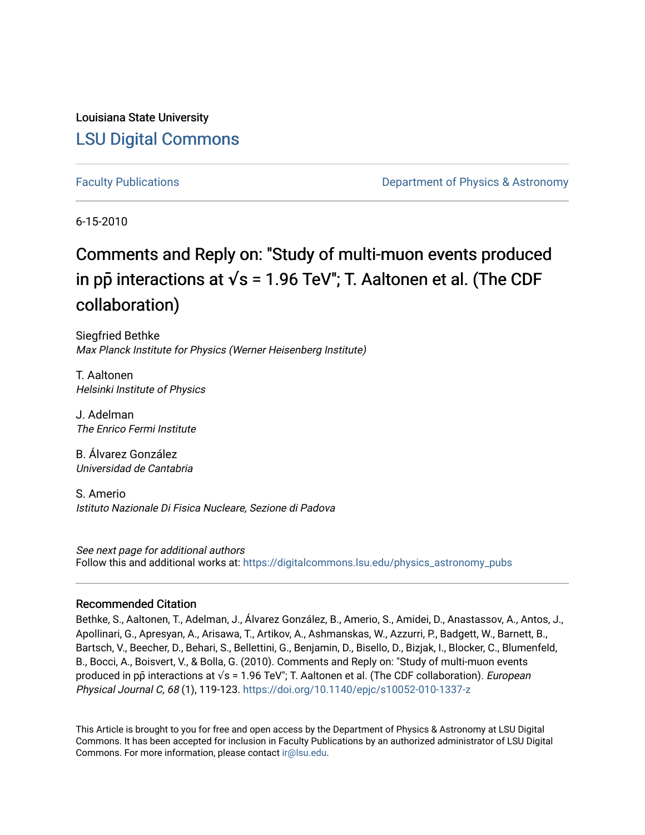Louisiana State University [LSU Digital Commons](https://digitalcommons.lsu.edu/)

[Faculty Publications](https://digitalcommons.lsu.edu/physics_astronomy_pubs) **Example 2** Constant Department of Physics & Astronomy

6-15-2010

# Comments and Reply on: "Study of multi-muon events produced in pp<sup> $\bar{p}$  interactions at  $\sqrt{s}$  = 1.96 TeV"; T. Aaltonen et al. (The CDF</sup> collaboration)

Siegfried Bethke Max Planck Institute for Physics (Werner Heisenberg Institute)

T. Aaltonen Helsinki Institute of Physics

J. Adelman The Enrico Fermi Institute

B. Álvarez González Universidad de Cantabria

S. Amerio Istituto Nazionale Di Fisica Nucleare, Sezione di Padova

See next page for additional authors Follow this and additional works at: [https://digitalcommons.lsu.edu/physics\\_astronomy\\_pubs](https://digitalcommons.lsu.edu/physics_astronomy_pubs?utm_source=digitalcommons.lsu.edu%2Fphysics_astronomy_pubs%2F2403&utm_medium=PDF&utm_campaign=PDFCoverPages) 

#### Recommended Citation

Bethke, S., Aaltonen, T., Adelman, J., Álvarez González, B., Amerio, S., Amidei, D., Anastassov, A., Antos, J., Apollinari, G., Apresyan, A., Arisawa, T., Artikov, A., Ashmanskas, W., Azzurri, P., Badgett, W., Barnett, B., Bartsch, V., Beecher, D., Behari, S., Bellettini, G., Benjamin, D., Bisello, D., Bizjak, I., Blocker, C., Blumenfeld, B., Bocci, A., Boisvert, V., & Bolla, G. (2010). Comments and Reply on: "Study of multi-muon events produced in pp̃ interactions at √s = 1.96 TeV"; T. Aaltonen et al. (The CDF collaboration). *European* Physical Journal C, 68 (1), 119-123. <https://doi.org/10.1140/epjc/s10052-010-1337-z>

This Article is brought to you for free and open access by the Department of Physics & Astronomy at LSU Digital Commons. It has been accepted for inclusion in Faculty Publications by an authorized administrator of LSU Digital Commons. For more information, please contact [ir@lsu.edu](mailto:ir@lsu.edu).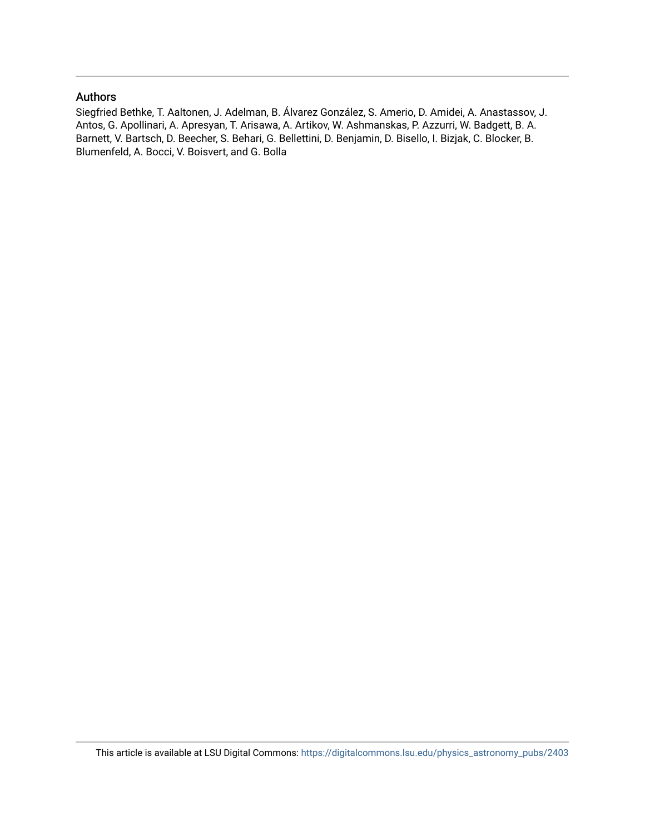### Authors

Siegfried Bethke, T. Aaltonen, J. Adelman, B. Álvarez González, S. Amerio, D. Amidei, A. Anastassov, J. Antos, G. Apollinari, A. Apresyan, T. Arisawa, A. Artikov, W. Ashmanskas, P. Azzurri, W. Badgett, B. A. Barnett, V. Bartsch, D. Beecher, S. Behari, G. Bellettini, D. Benjamin, D. Bisello, I. Bizjak, C. Blocker, B. Blumenfeld, A. Bocci, V. Boisvert, and G. Bolla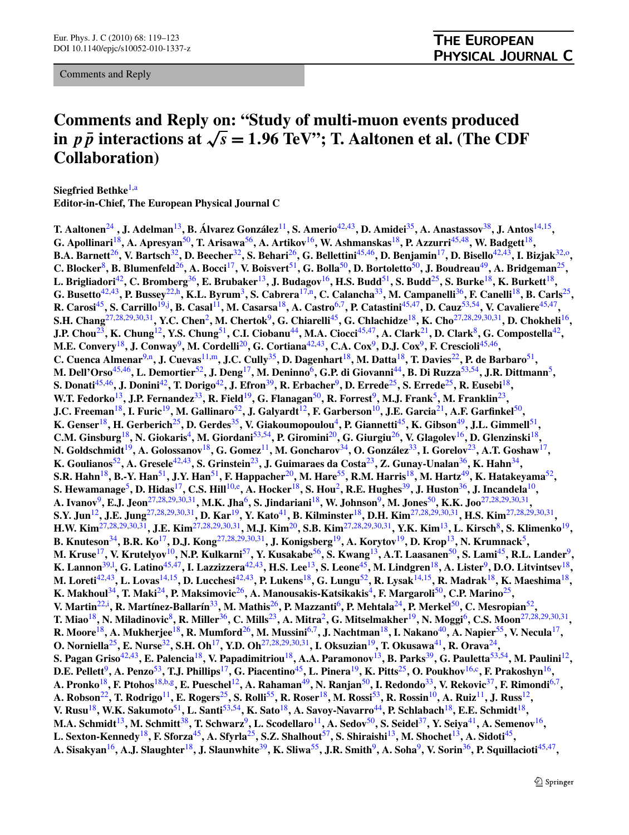Comments and Reply

## **Comments and Reply on: "Study of multi-muon events produced in** *p*  $\bar{p}$  interactions at  $\sqrt{s} = 1.96$  TeV"; T. Aaltonen et al. (The CDF **Collaboration)**

**Siegfried Bethke**[1](#page-3-0),[a](#page-4-0) **Editor-in-Chief, The European Physical Journal C**

**T. Aaltonen<sup>[24](#page-3-0)</sup>, J. Adelman**<sup>[13](#page-3-0)</sup>, B. Álvarez González<sup>[11](#page-3-0)</sup>, S. Amerio<sup>[42,43](#page-3-0)</sup>, D. Amidei<sup>[35](#page-3-0)</sup>, A. Anastassov<sup>[38](#page-3-0)</sup>, J. Antos<sup>[14,15](#page-3-0)</sup>, **G. Apollinari**[18](#page-3-0)**, A. Apresyan**[50](#page-3-0)**, T. Arisawa**[56](#page-4-0)**, A. Artikov**[16](#page-3-0)**, W. Ashmanskas**[18](#page-3-0)**, P. Azzurri**[45,48](#page-3-0)**, W. Badgett**[18](#page-3-0)**, B.A. Barnett**[26](#page-3-0)**, V. Bartsch**[32](#page-3-0)**, D. Beecher**[32](#page-3-0)**, S. Behari**[26](#page-3-0)**, G. Bellettini**[45,46](#page-3-0)**, D. Benjamin**[17](#page-3-0)**, D. Bisello**[42,43](#page-3-0)**, I. Bizjak**[32,](#page-3-0)[o](#page-4-0)**, C. Blocker**[8](#page-3-0)**, B. Blumenfeld**[26](#page-3-0)**, A. Bocci**[17](#page-3-0)**, V. Boisvert**[51](#page-3-0)**, G. Bolla**[50](#page-3-0)**, D. Bortoletto**[50](#page-3-0)**, J. Boudreau**[49](#page-3-0)**, A. Bridgeman**[25](#page-3-0)**, L. Brigliadori**[42](#page-3-0)**, C. Bromberg**[36](#page-3-0)**, E. Brubaker**[13](#page-3-0)**, J. Budagov**[16](#page-3-0)**, H.S. Budd**[51](#page-3-0)**, S. Budd**[25](#page-3-0)**, S. Burke**[18](#page-3-0)**, K. Burkett**[18](#page-3-0)**, G. Busetto**[42,43](#page-3-0)**, P. Bussey**[22](#page-3-0),[h](#page-4-0)**, K.L. Byrum**[3](#page-3-0)**, S. Cabrera**[17](#page-3-0)[,n](#page-4-0)**, C. Calancha**[33](#page-3-0)**, M. Campanelli**[36](#page-3-0)**, F. Canelli**[18](#page-3-0)**, B. Carls**[25](#page-3-0)**, R. Carosi**[45](#page-3-0)**, S. Carrillo**[19,](#page-3-0)[j](#page-4-0) **, B. Casal**[11](#page-3-0)**, M. Casarsa**[18](#page-3-0)**, A. Castro**[6,7](#page-3-0)**, P. Catastini**[45,47](#page-3-0)**, D. Cauz**[53,](#page-3-0)[54](#page-4-0)**, V. Cavaliere**[45,47](#page-3-0)**, S.H. Chang**[27,28,29,30,31](#page-3-0)**, Y.C. Chen**[2](#page-3-0)**, M. Chertok**[9](#page-3-0)**, G. Chiarelli**[45](#page-3-0)**, G. Chlachidze**[18](#page-3-0)**, K. Cho**[27,28,29,30,31](#page-3-0)**, D. Chokheli**[16](#page-3-0)**, J.P. Chou**[23](#page-3-0)**, K. Chung**[12](#page-3-0)**, Y.S. Chung**[51](#page-3-0)**, C.I. Ciobanu**[44](#page-3-0)**, M.A. Ciocci**[45,47](#page-3-0)**, A. Clark**[21](#page-3-0)**, D. Clark**[8](#page-3-0)**, G. Compostella**[42](#page-3-0)**, M.E. Convery**[18](#page-3-0)**, J. Conway**[9](#page-3-0)**, M. Cordelli**[20](#page-3-0)**, G. Cortiana**[42,43](#page-3-0)**, C.A. Cox**[9](#page-3-0)**, D.J. Cox**[9](#page-3-0)**, F. Crescioli**[45](#page-3-0),[46](#page-3-0)**, C. Cuenca Almenar**[9](#page-3-0),[n](#page-4-0)**, J. Cuevas**[11](#page-3-0)[,m](#page-4-0)**, J.C. Cully**[35](#page-3-0)**, D. Dagenhart**[18](#page-3-0)**, M. Datta**[18](#page-3-0)**, T. Davies**[22](#page-3-0)**, P. de Barbaro**[51](#page-3-0)**, M. Dell'Orso**[45,46](#page-3-0)**, L. Demortier**[52](#page-3-0)**, J. Deng**[17](#page-3-0)**, M. Deninno**[6](#page-3-0)**, G.P. di Giovanni**[44](#page-3-0)**, B. Di Ruzza**[53](#page-3-0)[,54](#page-4-0)**, J.R. Dittmann**[5](#page-3-0)**, S. Donati**[45,46](#page-3-0)**, J. Donini**[42](#page-3-0)**, T. Dorigo**[42](#page-3-0)**, J. Efron**[39](#page-3-0)**, R. Erbacher**[9](#page-3-0)**, D. Errede**[25](#page-3-0)**, S. Errede**[25](#page-3-0)**, R. Eusebi**[18](#page-3-0)**, W.T. Fedorko**[13](#page-3-0)**, J.P. Fernandez**[33](#page-3-0)**, R. Field**[19](#page-3-0)**, G. Flanagan**[50](#page-3-0)**, R. Forrest**[9](#page-3-0)**, M.J. Frank**[5](#page-3-0)**, M. Franklin**[23](#page-3-0)**, J.C. Freeman**[18](#page-3-0)**, I. Furic**[19](#page-3-0)**, M. Gallinaro**[52](#page-3-0)**, J. Galyardt**[12](#page-3-0)**, F. Garberson**[10](#page-3-0)**, J.E. Garcia**[21](#page-3-0)**, A.F. Garfinkel**[50](#page-3-0)**, K. Genser**[18](#page-3-0)**, H. Gerberich**[25](#page-3-0)**, D. Gerdes**[35](#page-3-0)**, V. Giakoumopoulou**[4](#page-3-0)**, P. Giannetti**[45](#page-3-0)**, K. Gibson**[49](#page-3-0)**, J.L. Gimmell**[51](#page-3-0)**, C.M. Ginsburg**[18](#page-3-0)**, N. Giokaris**[4](#page-3-0)**, M. Giordani**[53](#page-3-0)[,54](#page-4-0)**, P. Giromini**[20](#page-3-0)**, G. Giurgiu**[26](#page-3-0)**, V. Glagolev**[16](#page-3-0)**, D. Glenzinski**[18](#page-3-0)**, N. Goldschmidt**[19](#page-3-0)**, A. Golossanov**[18](#page-3-0)**, G. Gomez**[11](#page-3-0)**, M. Goncharov**[34](#page-3-0)**, O. González**[33](#page-3-0)**, I. Gorelov**[23](#page-3-0)**, A.T. Goshaw**[17](#page-3-0)**, K. Goulianos**[52](#page-3-0)**, A. Gresele**[42,43](#page-3-0)**, S. Grinstein**[23](#page-3-0)**, J. Guimaraes da Costa**[23](#page-3-0)**, Z. Gunay-Unalan**[36](#page-3-0)**, K. Hahn**[34](#page-3-0)**, S.R. Hahn**[18](#page-3-0)**, B.-Y. Han**[51](#page-3-0)**, J.Y. Han**[51](#page-3-0)**, F. Happacher**[20](#page-3-0)**, M. Hare**[55](#page-4-0)**, R.M. Harris**[18](#page-3-0)**, M. Hartz**[49](#page-3-0)**, K. Hatakeyama**[52](#page-3-0)**, S. Hewamanage**[5](#page-3-0)**, D. Hidas**[17](#page-3-0)**, C.S. Hill**[10,](#page-3-0)[e](#page-4-0)**, A. Hocker**[18](#page-3-0)**, S. Hou**[2](#page-3-0)**, R.E. Hughes**[39](#page-3-0)**, J. Huston**[36](#page-3-0)**, J. Incandela**[10](#page-3-0)**, A. Ivanov**[9](#page-3-0)**, E.J. Jeon**[27,28,29,30](#page-3-0),[31](#page-3-0)**, M.K. Jha**[6](#page-3-0)**, S. Jindariani**[18](#page-3-0)**, W. Johnson**[9](#page-3-0)**, M. Jones**[50](#page-3-0)**, K.K. Joo**[27,28,29,30,31](#page-3-0)**, S.Y. Jun**[12](#page-3-0)**, J.E. Jung**[27,28,29,30,31](#page-3-0)**, D. Kar**[19](#page-3-0)**, Y. Kato**[41](#page-3-0)**, B. Kilminster**[18](#page-3-0)**, D.H. Kim**[27,28,29,30,31](#page-3-0)**, H.S. Kim**[27](#page-3-0),[28,29,30,31](#page-3-0)**, H.W. Kim**[27,28,29,30,31](#page-3-0)**, J.E. Kim**[27,28,29](#page-3-0),[30,31](#page-3-0)**, M.J. Kim**[20](#page-3-0)**, S.B. Kim**[27](#page-3-0),[28,29,30,31](#page-3-0)**, Y.K. Kim**[13](#page-3-0)**, L. Kirsch**[8](#page-3-0)**, S. Klimenko**[19](#page-3-0)**, B. Knuteson**[34](#page-3-0)**, B.R. Ko**[17](#page-3-0)**, D.J. Kong**[27,28,29](#page-3-0),[30,31](#page-3-0)**, J. Konigsberg**[19](#page-3-0)**, A. Korytov**[19](#page-3-0)**, D. Krop**[13](#page-3-0)**, N. Krumnack**[5](#page-3-0)**, M. Kruse**[17](#page-3-0)**, V. Krutelyov**[10](#page-3-0)**, N.P. Kulkarni**[57](#page-4-0)**, Y. Kusakabe**[56](#page-4-0)**, S. Kwang**[13](#page-3-0)**, A.T. Laasanen**[50](#page-3-0)**, S. Lami**[45](#page-3-0)**, R.L. Lander**[9](#page-3-0)**, K. Lannon**[39](#page-3-0)[,l](#page-4-0) **, G. Latino**[45,47](#page-3-0)**, I. Lazzizzera**[42,43](#page-3-0)**, H.S. Lee**[13](#page-3-0)**, S. Leone**[45](#page-3-0)**, M. Lindgren**[18](#page-3-0)**, A. Lister**[9](#page-3-0)**, D.O. Litvintsev**[18](#page-3-0)**, M. Loreti**[42,43](#page-3-0)**, L. Lovas**[14,15](#page-3-0)**, D. Lucchesi**[42,43](#page-3-0)**, P. Lukens**[18](#page-3-0)**, G. Lungu**[52](#page-3-0)**, R. Lysak**[14,15](#page-3-0)**, R. Madrak**[18](#page-3-0)**, K. Maeshima**[18](#page-3-0)**, K. Makhoul**[34](#page-3-0)**, T. Maki**[24](#page-3-0)**, P. Maksimovic**[26](#page-3-0)**, A. Manousakis-Katsikakis**[4](#page-3-0)**, F. Margaroli**[50](#page-3-0)**, C.P. Marino**[25](#page-3-0)**, V. Martin**[22](#page-3-0)[,i](#page-4-0) **, R. Martínez-Ballarín**[33](#page-3-0)**, M. Mathis**[26](#page-3-0)**, P. Mazzanti**[6](#page-3-0)**, P. Mehtala**[24](#page-3-0)**, P. Merkel**[50](#page-3-0)**, C. Mesropian**[52](#page-3-0)**, T. Miao**[18](#page-3-0)**, N. Miladinovic**[8](#page-3-0)**, R. Miller**[36](#page-3-0)**, C. Mills**[23](#page-3-0)**, A. Mitra**[2](#page-3-0)**, G. Mitselmakher**[19](#page-3-0)**, N. Moggi**[6](#page-3-0)**, C.S. Moon**[27,28,29,30,31](#page-3-0)**, R. Moore**[18](#page-3-0)**, A. Mukherjee**[18](#page-3-0)**, R. Mumford**[26](#page-3-0)**, M. Mussini**[6,7](#page-3-0)**, J. Nachtman**[18](#page-3-0)**, I. Nakano**[40](#page-3-0)**, A. Napier**[55](#page-4-0)**, V. Necula**[17](#page-3-0)**, O. Norniella**[25](#page-3-0)**, E. Nurse**[32](#page-3-0)**, S.H. Oh**[17](#page-3-0)**, Y.D. Oh**[27,28,29](#page-3-0),[30,31](#page-3-0)**, I. Oksuzian**[19](#page-3-0)**, T. Okusawa**[41](#page-3-0)**, R. Orava**[24](#page-3-0)**, S. Pagan Griso**[42,43](#page-3-0)**, E. Palencia**[18](#page-3-0)**, V. Papadimitriou**[18](#page-3-0)**, A.A. Paramonov**[13](#page-3-0)**, B. Parks**[39](#page-3-0)**, G. Pauletta**[53,](#page-3-0)[54](#page-4-0)**, M. Paulini**[12](#page-3-0)**, D.E. Pellett**[9](#page-3-0)**, A. Penzo**[53](#page-3-0)**, T.J. Phillips**[17](#page-3-0)**, G. Piacentino**[45](#page-3-0)**, L. Pinera**[19](#page-3-0)**, K. Pitts**[25](#page-3-0)**, O. Poukhov**[16](#page-3-0),[c](#page-4-0)**, F. Prakoshyn**[16](#page-3-0)**, A. Pronko**[18](#page-3-0)**, F. Ptohos**[18](#page-3-0)[,b,g](#page-4-0)**, E. Pueschel**[12](#page-3-0)**, A. Rahaman**[49](#page-3-0)**, N. Ranjan**[50](#page-3-0)**, I. Redondo**[33](#page-3-0)**, V. Rekovic**[37](#page-3-0)**, F. Rimondi**[6,7](#page-3-0)**, A. Robson**[22](#page-3-0)**, T. Rodrigo**[11](#page-3-0)**, E. Rogers**[25](#page-3-0)**, S. Rolli**[55](#page-4-0)**, R. Roser**[18](#page-3-0)**, M. Rossi**[53](#page-3-0)**, R. Rossin**[10](#page-3-0)**, A. Ruiz**[11](#page-3-0)**, J. Russ**[12](#page-3-0)**, V. Rusu**[18](#page-3-0)**, W.K. Sakumoto**[51](#page-3-0)**, L. Santi**[53](#page-3-0)[,54](#page-4-0)**, K. Sato**[18](#page-3-0)**, A. Savoy-Navarro**[44](#page-3-0)**, P. Schlabach**[18](#page-3-0)**, E.E. Schmidt**[18](#page-3-0)**, M.A. Schmidt**[13](#page-3-0)**, M. Schmitt**[38](#page-3-0)**, T. Schwarz**[9](#page-3-0)**, L. Scodellaro**[11](#page-3-0)**, A. Sedov**[50](#page-3-0)**, S. Seidel**[37](#page-3-0)**, Y. Seiya**[41](#page-3-0)**, A. Semenov**[16](#page-3-0)**, L. Sexton-Kennedy<sup>[18](#page-3-0)</sup>, F. Sforza<sup>[45](#page-3-0)</sup>, A. Sfyrla<sup>[25](#page-3-0)</sup>, S.Z. Shalhout<sup>[57](#page-4-0)</sup>, S. Shiraishi<sup>[13](#page-3-0)</sup>, M. Shochet<sup>13</sup>, A. Sidoti<sup>45</sup>, A. Sisakyan**[16](#page-3-0)**, A.J. Slaughter**[18](#page-3-0)**, J. Slaunwhite**[39](#page-3-0)**, K. Sliwa**[55](#page-4-0)**, J.R. Smith**[9](#page-3-0)**, A. Soha**[9](#page-3-0)**, V. Sorin**[36](#page-3-0)**, P. Squillacioti**[45,47](#page-3-0)**,**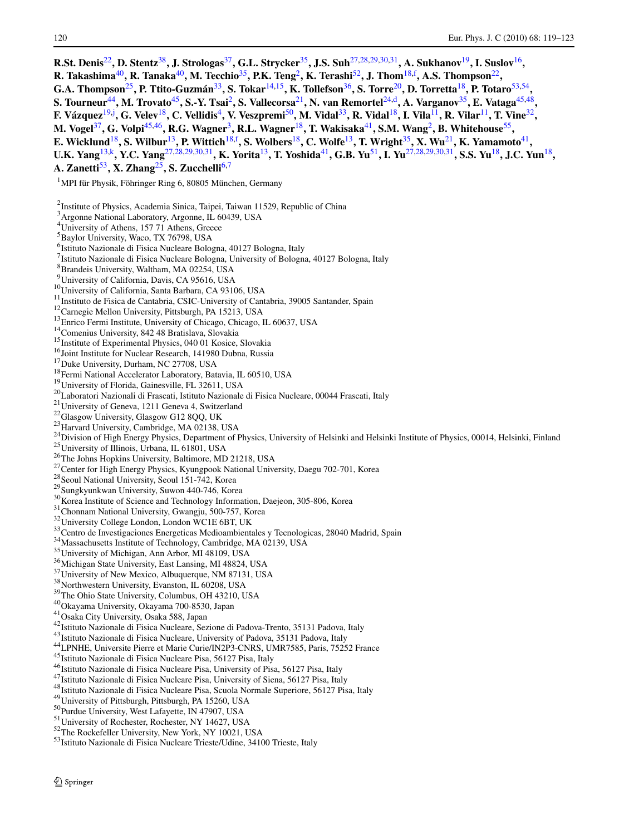<span id="page-3-0"></span>

| R.St. Denis <sup>22</sup> , D. Stentz <sup>38</sup> , J. Strologas <sup>37</sup> , G.L. Strycker <sup>35</sup> , J.S. Suh <sup>27,28,29,30,31</sup> , A. Sukhanov <sup>19</sup> , I. Suslov <sup>16</sup> ,                              |
|------------------------------------------------------------------------------------------------------------------------------------------------------------------------------------------------------------------------------------------|
| R. Takashima <sup>40</sup> , R. Tanaka <sup>40</sup> , M. Tecchio <sup>35</sup> , P.K. Teng <sup>2</sup> , K. Terashi <sup>52</sup> , J. Thom <sup>18,f</sup> , A.S. Thompson <sup>22</sup> ,                                            |
| G.A. Thompson <sup>25</sup> , P. Ttito-Guzmán <sup>33</sup> , S. Tokar <sup>14,15</sup> , K. Tollefson <sup>36</sup> , S. Torre <sup>20</sup> , D. Torretta <sup>18</sup> , P. Totaro <sup>53,54</sup> ,                                 |
| S. Tourneur <sup>44</sup> , M. Trovato <sup>45</sup> , S.-Y. Tsai <sup>2</sup> , S. Vallecorsa <sup>21</sup> , N. van Remortel <sup>24,d</sup> , A. Varganov <sup>35</sup> , E. Vataga <sup>45,48</sup> ,                                |
|                                                                                                                                                                                                                                          |
| F. Vázquez <sup>19,j</sup> , G. Velev <sup>18</sup> , C. Vellidis <sup>4</sup> , V. Veszpremi <sup>50</sup> , M. Vidal <sup>33</sup> , R. Vidal <sup>18</sup> , I. Vila <sup>11</sup> , R. Vilar <sup>11</sup> , T. Vine <sup>32</sup> , |
| M. Vogel <sup>37</sup> , G. Volpi <sup>45,46</sup> , R.G. Wagner <sup>3</sup> , R.L. Wagner <sup>18</sup> , T. Wakisaka <sup>41</sup> , S.M. Wang <sup>2</sup> , B. Whitehouse <sup>55</sup> ,                                           |
| E. Wicklund <sup>18</sup> , S. Wilbur <sup>13</sup> , P. Wittich <sup>18, f</sup> , S. Wolbers <sup>18</sup> , C. Wolfe <sup>13</sup> , T. Wright <sup>35</sup> , X. Wu <sup>21</sup> , K. Yamamoto <sup>41</sup> ,                      |
| U.K. Yang <sup>13,k</sup> , Y.C. Yang <sup>27,28,29,30,31</sup> , K. Yorita <sup>13</sup> , T. Yoshida <sup>41</sup> , G.B. Yu <sup>51</sup> , I. Yu <sup>27,28,29,30,31</sup> , S.S. Yu <sup>18</sup> , J.C. Yun <sup>18</sup> ,        |
| A. Zanetti <sup>53</sup> , X. Zhang <sup>25</sup> , S. Zucchelli <sup>6,7</sup>                                                                                                                                                          |
| <sup>1</sup> MPI für Physik, Föhringer Ring 6, 80805 München, Germany                                                                                                                                                                    |
|                                                                                                                                                                                                                                          |
| <sup>2</sup> Institute of Physics, Academia Sinica, Taipei, Taiwan 11529, Republic of China                                                                                                                                              |
| <sup>3</sup> Argonne National Laboratory, Argonne, IL 60439, USA                                                                                                                                                                         |
| <sup>4</sup> University of Athens, 157 71 Athens, Greece                                                                                                                                                                                 |
| <sup>5</sup> Baylor University, Waco, TX 76798, USA                                                                                                                                                                                      |
| <sup>6</sup> Istituto Nazionale di Fisica Nucleare Bologna, 40127 Bologna, Italy                                                                                                                                                         |
| <sup>7</sup> Istituto Nazionale di Fisica Nucleare Bologna, University of Bologna, 40127 Bologna, Italy                                                                                                                                  |
| <sup>8</sup> Brandeis University, Waltham, MA 02254, USA                                                                                                                                                                                 |
| <sup>9</sup> University of California, Davis, CA 95616, USA                                                                                                                                                                              |
| <sup>10</sup> University of California, Santa Barbara, CA 93106, USA                                                                                                                                                                     |
| <sup>11</sup> Instituto de Fisica de Cantabria, CSIC-University of Cantabria, 39005 Santander, Spain<br><sup>12</sup> Carnegie Mellon University, Pittsburgh, PA 15213, USA                                                              |
| <sup>13</sup> Enrico Fermi Institute, University of Chicago, Chicago, IL 60637, USA                                                                                                                                                      |
| <sup>14</sup> Comenius University, 842 48 Bratislava, Slovakia                                                                                                                                                                           |
| <sup>15</sup> Institute of Experimental Physics, 040 01 Kosice, Slovakia                                                                                                                                                                 |
| <sup>16</sup> Joint Institute for Nuclear Research, 141980 Dubna, Russia                                                                                                                                                                 |
| <sup>17</sup> Duke University, Durham, NC 27708, USA                                                                                                                                                                                     |
| <sup>18</sup> Fermi National Accelerator Laboratory, Batavia, IL 60510, USA                                                                                                                                                              |
| <sup>19</sup> University of Florida, Gainesville, FL 32611, USA                                                                                                                                                                          |
| <sup>20</sup> Laboratori Nazionali di Frascati, Istituto Nazionale di Fisica Nucleare, 00044 Frascati, Italy                                                                                                                             |
| <sup>21</sup> University of Geneva, 1211 Geneva 4, Switzerland<br><sup>22</sup> Glasgow University, Glasgow G12 8QQ, UK                                                                                                                  |
| <sup>23</sup> Harvard University, Cambridge, MA 02138, USA                                                                                                                                                                               |
| <sup>24</sup> Division of High Energy Physics, Department of Physics, University of Helsinki and Helsinki Institute of Physics, 00014, Helsinki, Finland                                                                                 |
| <sup>25</sup> University of Illinois, Urbana, IL 61801, USA                                                                                                                                                                              |
| <sup>26</sup> The Johns Hopkins University, Baltimore, MD 21218, USA                                                                                                                                                                     |
| <sup>27</sup> Center for High Energy Physics, Kyungpook National University, Daegu 702-701, Korea                                                                                                                                        |
| <sup>28</sup> Seoul National University, Seoul 151-742, Korea                                                                                                                                                                            |
| <sup>29</sup> Sungkyunkwan University, Suwon 440-746, Korea                                                                                                                                                                              |
| <sup>30</sup> Korea Institute of Science and Technology Information, Daejeon, 305-806, Korea                                                                                                                                             |
| <sup>31</sup> Chonnam National University, Gwangju, 500-757, Korea<br><sup>32</sup> University College London, London WC1E 6BT, UK                                                                                                       |
| Centro de Investigaciones Energeticas Medioambientales y Tecnologicas, 28040 Madrid, Spain                                                                                                                                               |
| <sup>34</sup> Massachusetts Institute of Technology, Cambridge, MA 02139, USA                                                                                                                                                            |
| <sup>35</sup> University of Michigan, Ann Arbor, MI 48109, USA                                                                                                                                                                           |
| <sup>36</sup> Michigan State University, East Lansing, MI 48824, USA                                                                                                                                                                     |
| <sup>37</sup> University of New Mexico, Albuquerque, NM 87131, USA                                                                                                                                                                       |
| <sup>38</sup> Northwestern University, Evanston, IL 60208, USA                                                                                                                                                                           |
| <sup>39</sup> The Ohio State University, Columbus, OH 43210, USA                                                                                                                                                                         |
| <sup>40</sup> Okayama University, Okayama 700-8530, Japan                                                                                                                                                                                |
| <sup>41</sup> Osaka City University, Osaka 588, Japan<br><sup>42</sup> Istituto Nazionale di Fisica Nucleare, Sezione di Padova-Trento, 35131 Padova, Italy                                                                              |
| <sup>43</sup> Istituto Nazionale di Fisica Nucleare, University of Padova, 35131 Padova, Italy                                                                                                                                           |
| <sup>44</sup> LPNHE, Universite Pierre et Marie Curie/IN2P3-CNRS, UMR7585, Paris, 75252 France                                                                                                                                           |
| <sup>45</sup> Istituto Nazionale di Fisica Nucleare Pisa, 56127 Pisa, Italy                                                                                                                                                              |
| <sup>46</sup> Istituto Nazionale di Fisica Nucleare Pisa, University of Pisa, 56127 Pisa, Italy                                                                                                                                          |
| <sup>47</sup> Istituto Nazionale di Fisica Nucleare Pisa, University of Siena, 56127 Pisa, Italy                                                                                                                                         |
| <sup>48</sup> Istituto Nazionale di Fisica Nucleare Pisa, Scuola Normale Superiore, 56127 Pisa, Italy                                                                                                                                    |
| <sup>49</sup> University of Pittsburgh, Pittsburgh, PA 15260, USA                                                                                                                                                                        |
| <sup>50</sup> Purdue University, West Lafayette, IN 47907, USA                                                                                                                                                                           |
| <sup>51</sup> University of Rochester, Rochester, NY 14627, USA<br><sup>52</sup> The Rockefeller University, New York, NY 10021, USA                                                                                                     |
| 53 Istituto Nazionale di Fisica Nucleare Trieste/Udine, 34100 Trieste, Italy                                                                                                                                                             |
|                                                                                                                                                                                                                                          |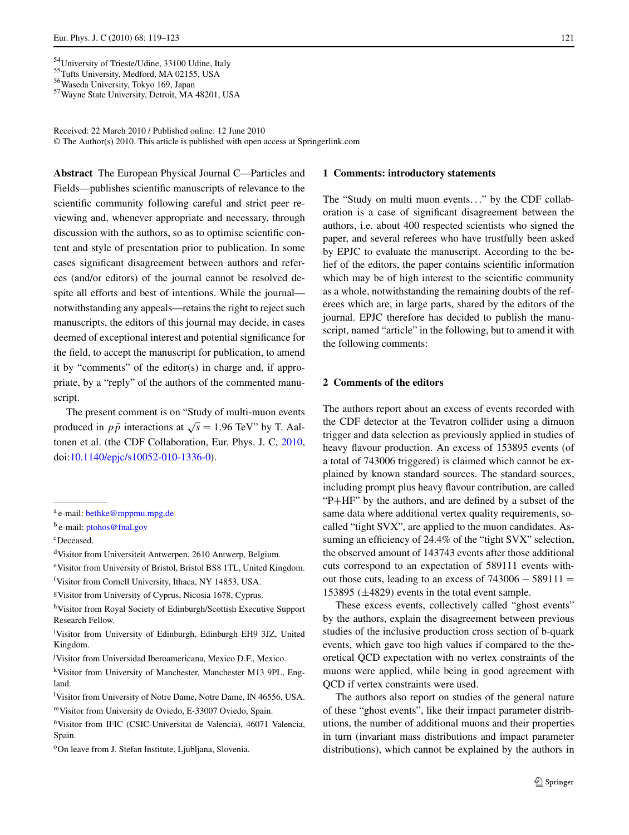Received: 22 March 2010 / Published online: 12 June 2010 © The Author(s) 2010. This article is published with open access at Springerlink.com

**Abstract** The European Physical Journal C—Particles and Fields—publishes scientific manuscripts of relevance to the scientific community following careful and strict peer reviewing and, whenever appropriate and necessary, through discussion with the authors, so as to optimise scientific content and style of presentation prior to publication. In some cases significant disagreement between authors and referees (and/or editors) of the journal cannot be resolved despite all efforts and best of intentions. While the journal notwithstanding any appeals—retains the right to reject such manuscripts, the editors of this journal may decide, in cases deemed of exceptional interest and potential significance for the field, to accept the manuscript for publication, to amend it by "comments" of the editor(s) in charge and, if appropriate, by a "reply" of the authors of the commented manuscript.

The present comment is on "Study of multi-muon events produced in  $p\bar{p}$  interactions at  $\sqrt{s} = 1.96$  TeV" by T. Aaltonen et al. (the CDF Collaboration, Eur. Phys. J. C, [2010](#page-6-0), doi[:10.1140/epjc/s10052-010-1336-0](http://dx.doi.org/10.1140/epjc/s10052-010-1336-0)).

dVisitor from Universiteit Antwerpen, 2610 Antwerp, Belgium.

eVisitor from University of Bristol, Bristol BS8 1TL, United Kingdom.

hVisitor from Royal Society of Edinburgh/Scottish Executive Support Research Fellow.

<sup>i</sup>Visitor from University of Edinburgh, Edinburgh EH9 3JZ, United Kingdom.

j Visitor from Universidad Iberoamericana, Mexico D.F., Mexico.

kVisitor from University of Manchester, Manchester M13 9PL, England.

<sup>1</sup>Visitor from University of Notre Dame, Notre Dame, IN 46556, USA. mVisitor from University de Oviedo, E-33007 Oviedo, Spain.

nVisitor from IFIC (CSIC-Universitat de Valencia), 46071 Valencia, Spain.

#### **1 Comments: introductory statements**

The "Study on multi muon events*...*" by the CDF collaboration is a case of significant disagreement between the authors, i.e. about 400 respected scientists who signed the paper, and several referees who have trustfully been asked by EPJC to evaluate the manuscript. According to the belief of the editors, the paper contains scientific information which may be of high interest to the scientific community as a whole, notwithstanding the remaining doubts of the referees which are, in large parts, shared by the editors of the journal. EPJC therefore has decided to publish the manuscript, named "article" in the following, but to amend it with the following comments:

#### **2 Comments of the editors**

The authors report about an excess of events recorded with the CDF detector at the Tevatron collider using a dimuon trigger and data selection as previously applied in studies of heavy flavour production. An excess of 153895 events (of a total of 743006 triggered) is claimed which cannot be explained by known standard sources. The standard sources, including prompt plus heavy flavour contribution, are called "P+HF" by the authors, and are defined by a subset of the same data where additional vertex quality requirements, socalled "tight SVX", are applied to the muon candidates. Assuming an efficiency of 24.4% of the "tight SVX" selection, the observed amount of 143743 events after those additional cuts correspond to an expectation of 589111 events without those cuts, leading to an excess of  $743006 - 589111 =$ 153895 *(*±4829*)* events in the total event sample.

These excess events, collectively called "ghost events" by the authors, explain the disagreement between previous studies of the inclusive production cross section of b-quark events, which gave too high values if compared to the theoretical QCD expectation with no vertex constraints of the muons were applied, while being in good agreement with QCD if vertex constraints were used.

The authors also report on studies of the general nature of these "ghost events", like their impact parameter distributions, the number of additional muons and their properties in turn (invariant mass distributions and impact parameter distributions), which cannot be explained by the authors in

<span id="page-4-0"></span><sup>&</sup>lt;sup>54</sup>University of Trieste/Udine, 33100 Udine, Italy <sup>55</sup>Tufts University, Medford, MA 02155, USA 56Waseda University, Tokyo 169, Japan 57Wayne State University, Detroit, MA 48201, USA

<sup>a</sup> e-mail: [bethke@mppmu.mpg.de](mailto:bethke@mppmu.mpg.de)

<sup>&</sup>lt;sup>b</sup> e-mail: [ptohos@fnal.gov](mailto:ptohos@fnal.gov)

cDeceased.

f Visitor from Cornell University, Ithaca, NY 14853, USA.

gVisitor from University of Cyprus, Nicosia 1678, Cyprus.

<sup>&</sup>lt;sup>o</sup>On leave from J. Stefan Institute, Ljubljana, Slovenia.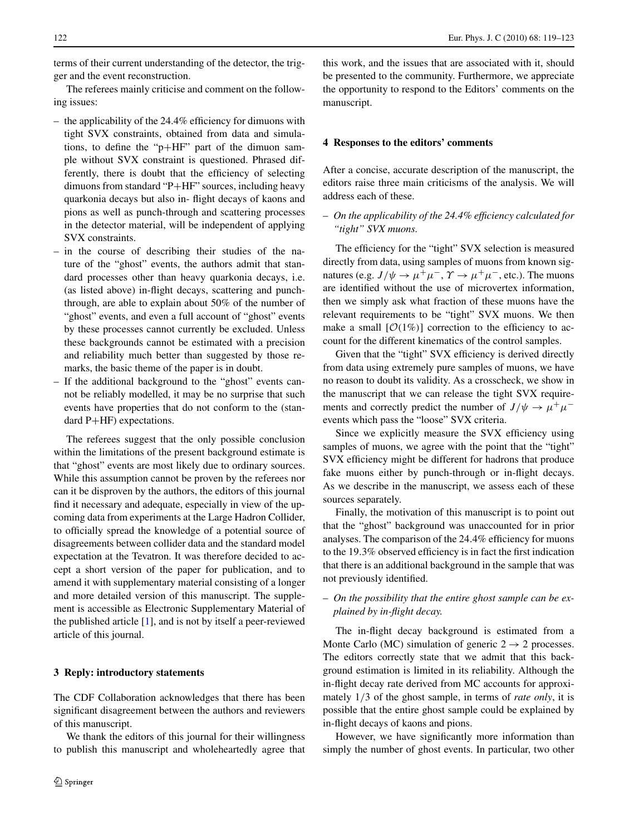terms of their current understanding of the detector, the trigger and the event reconstruction.

The referees mainly criticise and comment on the following issues:

- the applicability of the 24.4% efficiency for dimuons with tight SVX constraints, obtained from data and simulations, to define the "p+HF" part of the dimuon sample without SVX constraint is questioned. Phrased differently, there is doubt that the efficiency of selecting dimuons from standard "P+HF" sources, including heavy quarkonia decays but also in- flight decays of kaons and pions as well as punch-through and scattering processes in the detector material, will be independent of applying SVX constraints.
- in the course of describing their studies of the nature of the "ghost" events, the authors admit that standard processes other than heavy quarkonia decays, i.e. (as listed above) in-flight decays, scattering and punchthrough, are able to explain about 50% of the number of "ghost" events, and even a full account of "ghost" events by these processes cannot currently be excluded. Unless these backgrounds cannot be estimated with a precision and reliability much better than suggested by those remarks, the basic theme of the paper is in doubt.
- If the additional background to the "ghost" events cannot be reliably modelled, it may be no surprise that such events have properties that do not conform to the (standard P+HF) expectations.

The referees suggest that the only possible conclusion within the limitations of the present background estimate is that "ghost" events are most likely due to ordinary sources. While this assumption cannot be proven by the referees nor can it be disproven by the authors, the editors of this journal find it necessary and adequate, especially in view of the upcoming data from experiments at the Large Hadron Collider, to officially spread the knowledge of a potential source of disagreements between collider data and the standard model expectation at the Tevatron. It was therefore decided to accept a short version of the paper for publication, and to amend it with supplementary material consisting of a longer and more detailed version of this manuscript. The supplement is accessible as Electronic Supplementary Material of the published article [\[1](#page-6-0)], and is not by itself a peer-reviewed article of this journal.

#### **3 Reply: introductory statements**

The CDF Collaboration acknowledges that there has been significant disagreement between the authors and reviewers of this manuscript.

We thank the editors of this journal for their willingness to publish this manuscript and wholeheartedly agree that this work, and the issues that are associated with it, should be presented to the community. Furthermore, we appreciate the opportunity to respond to the Editors' comments on the manuscript.

#### **4 Responses to the editors' comments**

After a concise, accurate description of the manuscript, the editors raise three main criticisms of the analysis. We will address each of these.

#### – *On the applicability of the 24.4% efficiency calculated for "tight" SVX muons.*

The efficiency for the "tight" SVX selection is measured directly from data, using samples of muons from known signatures (e.g.  $J/\psi \rightarrow \mu^+\mu^-$ ,  $\gamma \rightarrow \mu^+\mu^-$ , etc.). The muons are identified without the use of microvertex information, then we simply ask what fraction of these muons have the relevant requirements to be "tight" SVX muons. We then make a small  $[O(1\%)]$  correction to the efficiency to account for the different kinematics of the control samples.

Given that the "tight" SVX efficiency is derived directly from data using extremely pure samples of muons, we have no reason to doubt its validity. As a crosscheck, we show in the manuscript that we can release the tight SVX requirements and correctly predict the number of  $J/\psi \rightarrow \mu^+\mu^$ events which pass the "loose" SVX criteria.

Since we explicitly measure the SVX efficiency using samples of muons, we agree with the point that the "tight" SVX efficiency might be different for hadrons that produce fake muons either by punch-through or in-flight decays. As we describe in the manuscript, we assess each of these sources separately.

Finally, the motivation of this manuscript is to point out that the "ghost" background was unaccounted for in prior analyses. The comparison of the 24*.*4% efficiency for muons to the 19*.*3% observed efficiency is in fact the first indication that there is an additional background in the sample that was not previously identified.

#### – *On the possibility that the entire ghost sample can be explained by in-flight decay.*

The in-flight decay background is estimated from a Monte Carlo (MC) simulation of generic  $2 \rightarrow 2$  processes. The editors correctly state that we admit that this background estimation is limited in its reliability. Although the in-flight decay rate derived from MC accounts for approximately 1*/*3 of the ghost sample, in terms of *rate only*, it is possible that the entire ghost sample could be explained by in-flight decays of kaons and pions.

However, we have significantly more information than simply the number of ghost events. In particular, two other